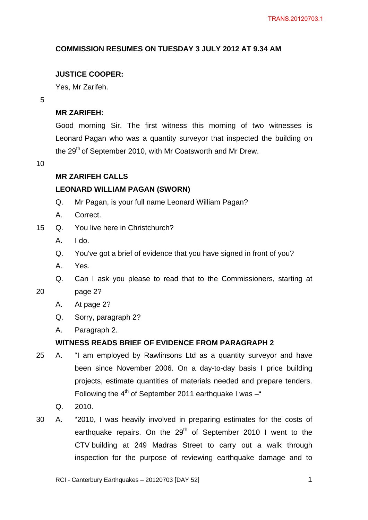# **COMMISSION RESUMES ON TUESDAY 3 JULY 2012 AT 9.34 AM**

# **JUSTICE COOPER:**

Yes, Mr Zarifeh.

5

# **MR ZARIFEH:**

Good morning Sir. The first witness this morning of two witnesses is Leonard Pagan who was a quantity surveyor that inspected the building on the 29<sup>th</sup> of September 2010, with Mr Coatsworth and Mr Drew.

<span id="page-0-0"></span>10

# **MR ZARIFEH CALLS**

# **LEONARD WILLIAM PAGAN (SWORN)**

- Q. Mr Pagan, is your full name Leonard William Pagan?
- A. Correct.
- 15 Q. You live here in Christchurch?
	- A. I do.
	- Q. You've got a brief of evidence that you have signed in front of you?
	- A. Yes.
	- Q. Can I ask you please to read that to the Commissioners, starting at
- 20 page 2?
	- A. At page 2?
	- Q. Sorry, paragraph 2?
	- A. Paragraph 2.

# **WITNESS READS BRIEF OF EVIDENCE FROM PARAGRAPH 2**

- 25 A. "I am employed by Rawlinsons Ltd as a quantity surveyor and have been since November 2006. On a day-to-day basis I price building projects, estimate quantities of materials needed and prepare tenders. Following the  $4<sup>th</sup>$  of September 2011 earthquake I was  $-$ "
	- Q. 2010.
- 30 A. "2010, I was heavily involved in preparing estimates for the costs of earthquake repairs. On the  $29<sup>th</sup>$  of September 2010 I went to the CTV building at 249 Madras Street to carry out a walk through inspection for the purpose of reviewing earthquake damage and to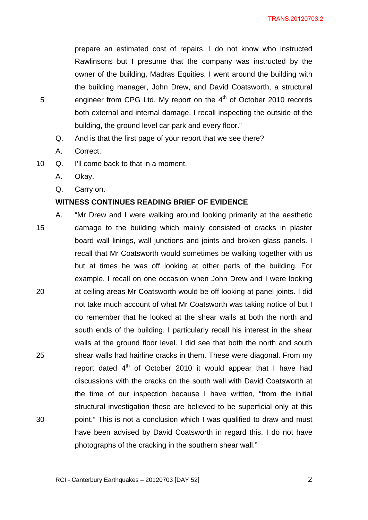prepare an estimated cost of repairs. I do not know who instructed Rawlinsons but I presume that the company was instructed by the owner of the building, Madras Equities. I went around the building with the building manager, John Drew, and David Coatsworth, a structural engineer from CPG Ltd. My report on the  $4<sup>th</sup>$  of October 2010 records both external and internal damage. I recall inspecting the outside of the building, the ground level car park and every floor."

- Q. And is that the first page of your report that we see there?
- A. Correct.
- 10 Q. I'll come back to that in a moment.
	- A. Okay.
	- Q. Carry on.

### **WITNESS CONTINUES READING BRIEF OF EVIDENCE**

15 20 25 30 A. "Mr Drew and I were walking around looking primarily at the aesthetic damage to the building which mainly consisted of cracks in plaster board wall linings, wall junctions and joints and broken glass panels. I recall that Mr Coatsworth would sometimes be walking together with us but at times he was off looking at other parts of the building. For example, I recall on one occasion when John Drew and I were looking at ceiling areas Mr Coatsworth would be off looking at panel joints. I did not take much account of what Mr Coatsworth was taking notice of but I do remember that he looked at the shear walls at both the north and south ends of the building. I particularly recall his interest in the shear walls at the ground floor level. I did see that both the north and south shear walls had hairline cracks in them. These were diagonal. From my report dated  $4<sup>th</sup>$  of October 2010 it would appear that I have had discussions with the cracks on the south wall with David Coatsworth at the time of our inspection because I have written, "from the initial structural investigation these are believed to be superficial only at this point." This is not a conclusion which I was qualified to draw and must have been advised by David Coatsworth in regard this. I do not have photographs of the cracking in the southern shear wall."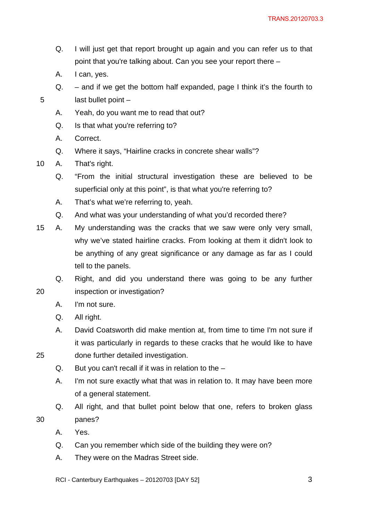- Q. I will just get that report brought up again and you can refer us to that point that you're talking about. Can you see your report there –
- A. I can, yes.
- $Q.$  and if we get the bottom half expanded, page I think it's the fourth to last bullet point –
- A. Yeah, do you want me to read that out?
- Q. Is that what you're referring to?
- A. Correct.

- Q. Where it says, "Hairline cracks in concrete shear walls"?
- 10 A. That's right.
	- Q. "From the initial structural investigation these are believed to be superficial only at this point", is that what you're referring to?
	- A. That's what we're referring to, yeah.
	- Q. And what was your understanding of what you'd recorded there?
- 15 A. My understanding was the cracks that we saw were only very small, why we've stated hairline cracks. From looking at them it didn't look to be anything of any great significance or any damage as far as I could tell to the panels.
- 20 Q. Right, and did you understand there was going to be any further inspection or investigation?
	- A. I'm not sure.
	- Q. All right.
	- A. David Coatsworth did make mention at, from time to time I'm not sure if it was particularly in regards to these cracks that he would like to have done further detailed investigation.
- 25

- Q. But you can't recall if it was in relation to the –
- A. I'm not sure exactly what that was in relation to. It may have been more of a general statement.
- Q. All right, and that bullet point below that one, refers to broken glass panes?
- A. Yes.
- Q. Can you remember which side of the building they were on?
- A. They were on the Madras Street side.
- RCI Canterbury Earthquakes 20120703 [DAY 52]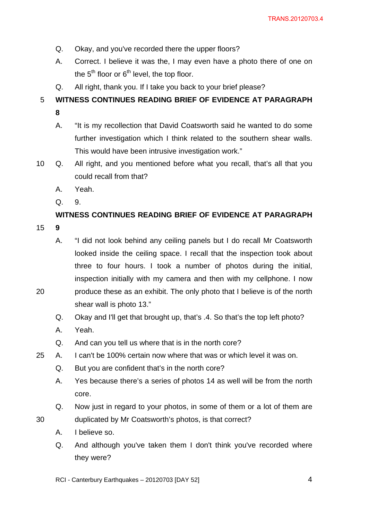- Q. Okay, and you've recorded there the upper floors?
- A. Correct. I believe it was the, I may even have a photo there of one on the  $5<sup>th</sup>$  floor or  $6<sup>th</sup>$  level, the top floor.
- Q. All right, thank you. If I take you back to your brief please?

#### 5 **WITNESS CONTINUES READING BRIEF OF EVIDENCE AT PARAGRAPH**

- **8**
- A. "It is my recollection that David Coatsworth said he wanted to do some further investigation which I think related to the southern shear walls. This would have been intrusive investigation work."
- 10 Q. All right, and you mentioned before what you recall, that's all that you could recall from that?
	- A. Yeah.
	- Q. 9.

# **WITNESS CONTINUES READING BRIEF OF EVIDENCE AT PARAGRAPH**

15 **9** 

20

- A. "I did not look behind any ceiling panels but I do recall Mr Coatsworth looked inside the ceiling space. I recall that the inspection took about three to four hours. I took a number of photos during the initial, inspection initially with my camera and then with my cellphone. I now produce these as an exhibit. The only photo that I believe is of the north shear wall is photo 13."
- Q. Okay and I'll get that brought up, that's .4. So that's the top left photo?
- A. Yeah.
- Q. And can you tell us where that is in the north core?
- 25 A. I can't be 100% certain now where that was or which level it was on.
	- Q. But you are confident that's in the north core?
	- A. Yes because there's a series of photos 14 as well will be from the north core.
	- Q. Now just in regard to your photos, in some of them or a lot of them are duplicated by Mr Coatsworth's photos, is that correct?
	- A. I believe so.
	- Q. And although you've taken them I don't think you've recorded where they were?
	- RCI Canterbury Earthquakes 20120703 [DAY 52]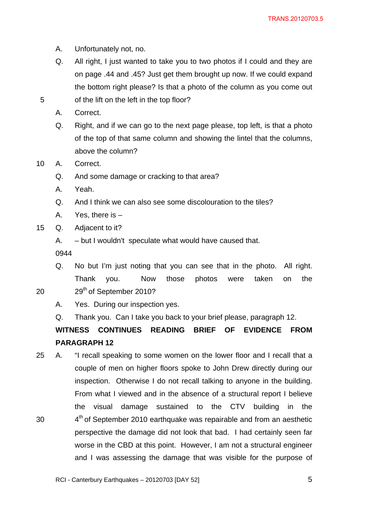- A. Unfortunately not, no.
- Q. All right, I just wanted to take you to two photos if I could and they are on page .44 and .45? Just get them brought up now. If we could expand the bottom right please? Is that a photo of the column as you come out of the lift on the left in the top floor?
- A. Correct.

- Q. Right, and if we can go to the next page please, top left, is that a photo of the top of that same column and showing the lintel that the columns, above the column?
- 10 A. Correct.
	- Q. And some damage or cracking to that area?
	- A. Yeah.
	- Q. And I think we can also see some discolouration to the tiles?
	- A. Yes, there is –
- 15 Q. Adjacent to it?
	- A. but I wouldn't speculate what would have caused that.

0944

Q. No but I'm just noting that you can see that in the photo. All right. Thank you. Now those photos were taken on the 29<sup>th</sup> of September 2010?

20

- A. Yes. During our inspection yes.
- Q. Thank you. Can I take you back to your brief please, paragraph 12.

# **WITNESS CONTINUES READING BRIEF OF EVIDENCE FROM PARAGRAPH 12**

30 25 A. "I recall speaking to some women on the lower floor and I recall that a couple of men on higher floors spoke to John Drew directly during our inspection. Otherwise I do not recall talking to anyone in the building. From what I viewed and in the absence of a structural report I believe the visual damage sustained to the CTV building in the 4<sup>th</sup> of September 2010 earthquake was repairable and from an aesthetic perspective the damage did not look that bad. I had certainly seen far worse in the CBD at this point. However, I am not a structural engineer and I was assessing the damage that was visible for the purpose of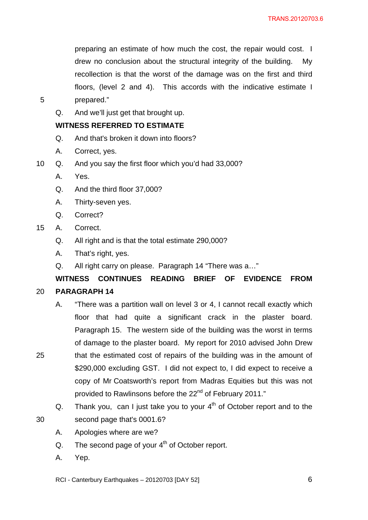preparing an estimate of how much the cost, the repair would cost. I drew no conclusion about the structural integrity of the building. My recollection is that the worst of the damage was on the first and third floors, (level 2 and 4). This accords with the indicative estimate I prepared."

5

Q. And we'll just get that brought up.

# **WITNESS REFERRED TO ESTIMATE**

- Q. And that's broken it down into floors?
- A. Correct, yes.
- 10 Q. And you say the first floor which you'd had 33,000?
	- A. Yes.
	- Q. And the third floor 37,000?
	- A. Thirty-seven yes.
	- Q. Correct?
- 15 A. Correct.
	- Q. All right and is that the total estimate 290,000?
	- A. That's right, yes.
	- Q. All right carry on please. Paragraph 14 "There was a…"

#### 20 **WITNESS CONTINUES READING BRIEF OF EVIDENCE FROM PARAGRAPH 14**

- A. "There was a partition wall on level 3 or 4, I cannot recall exactly which floor that had quite a significant crack in the plaster board. Paragraph 15. The western side of the building was the worst in terms of damage to the plaster board. My report for 2010 advised John Drew that the estimated cost of repairs of the building was in the amount of \$290,000 excluding GST. I did not expect to, I did expect to receive a copy of Mr Coatsworth's report from Madras Equities but this was not provided to Rawlinsons before the 22<sup>nd</sup> of February 2011."
	- Q. Thank you, can I just take you to your  $4<sup>th</sup>$  of October report and to the second page that's 0001.6?
	- A. Apologies where are we?
	- Q. The second page of your  $4<sup>th</sup>$  of October report.
	- A. Yep.

25

30

RCI - Canterbury Earthquakes – 20120703 [DAY 52]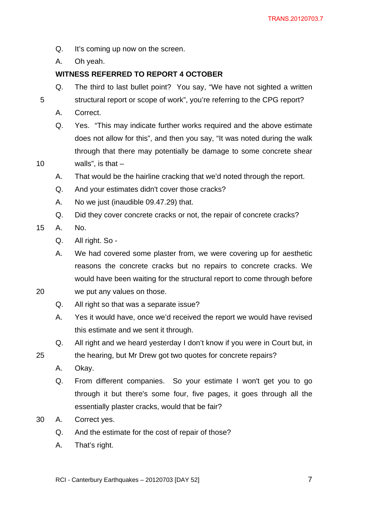Q. It's coming up now on the screen.

A. Oh yeah.

# **WITNESS REFERRED TO REPORT 4 OCTOBER**

- Q. The third to last bullet point? You say, "We have not sighted a written structural report or scope of work", you're referring to the CPG report?
- A. Correct.

5

10

20

- Q. Yes. "This may indicate further works required and the above estimate does not allow for this", and then you say, "It was noted during the walk through that there may potentially be damage to some concrete shear walls", is that  $-$
- A. That would be the hairline cracking that we'd noted through the report.
- Q. And your estimates didn't cover those cracks?
- A. No we just (inaudible 09.47.29) that.
- Q. Did they cover concrete cracks or not, the repair of concrete cracks?
- 15 A. No.
	- Q. All right. So -
	- A. We had covered some plaster from, we were covering up for aesthetic reasons the concrete cracks but no repairs to concrete cracks. We would have been waiting for the structural report to come through before we put any values on those.
	- Q. All right so that was a separate issue?
		- A. Yes it would have, once we'd received the report we would have revised this estimate and we sent it through.
		- Q. All right and we heard yesterday I don't know if you were in Court but, in the hearing, but Mr Drew got two quotes for concrete repairs?
		- A. Okay.
		- Q. From different companies. So your estimate I won't get you to go through it but there's some four, five pages, it goes through all the essentially plaster cracks, would that be fair?
- 30 A. Correct yes.
	- Q. And the estimate for the cost of repair of those?
	- A. That's right.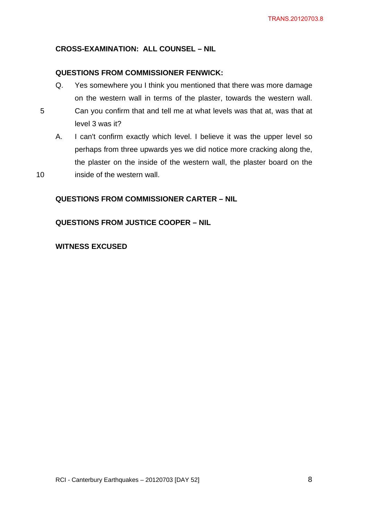# <span id="page-7-0"></span>**CROSS-EXAMINATION: ALL COUNSEL – NIL**

### **QUESTIONS FROM COMMISSIONER FENWICK:**

- <span id="page-7-1"></span>Q. Yes somewhere you I think you mentioned that there was more damage on the western wall in terms of the plaster, towards the western wall. Can you confirm that and tell me at what levels was that at, was that at
- A. I can't confirm exactly which level. I believe it was the upper level so perhaps from three upwards yes we did notice more cracking along the, the plaster on the inside of the western wall, the plaster board on the inside of the western wall.

### <span id="page-7-2"></span>**QUESTIONS FROM COMMISSIONER CARTER – NIL**

<span id="page-7-3"></span>**QUESTIONS FROM JUSTICE COOPER – NIL** 

### **WITNESS EXCUSED**

level 3 was it?

5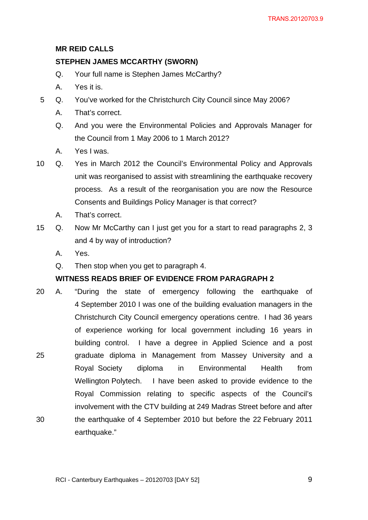# **MR REID CALLS**

# <span id="page-8-0"></span>**STEPHEN JAMES MCCARTHY (SWORN)**

- Q. Your full name is Stephen James McCarthy?
- A. Yes it is.
- 5 Q. You've worked for the Christchurch City Council since May 2006?
	- A. That's correct.
	- Q. And you were the Environmental Policies and Approvals Manager for the Council from 1 May 2006 to 1 March 2012?
	- A. Yes I was.
- 10 Q. Yes in March 2012 the Council's Environmental Policy and Approvals unit was reorganised to assist with streamlining the earthquake recovery process. As a result of the reorganisation you are now the Resource Consents and Buildings Policy Manager is that correct?
	- A. That's correct.
- 15 Q. Now Mr McCarthy can I just get you for a start to read paragraphs 2, 3 and 4 by way of introduction?
	- A. Yes.
	- Q. Then stop when you get to paragraph 4.

# **WITNESS READS BRIEF OF EVIDENCE FROM PARAGRAPH 2**

25 30 20 A. "During the state of emergency following the earthquake of 4 September 2010 I was one of the building evaluation managers in the Christchurch City Council emergency operations centre. I had 36 years of experience working for local government including 16 years in building control. I have a degree in Applied Science and a post graduate diploma in Management from Massey University and a Royal Society diploma in Environmental Health from Wellington Polytech. I have been asked to provide evidence to the Royal Commission relating to specific aspects of the Council's involvement with the CTV building at 249 Madras Street before and after the earthquake of 4 September 2010 but before the 22 February 2011 earthquake."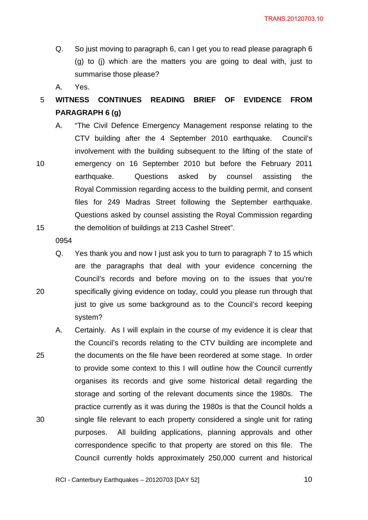- Q. So just moving to paragraph 6, can I get you to read please paragraph 6 (g) to (j) which are the matters you are going to deal with, just to summarise those please?
- A. Yes.

#### 5 **WITNESS CONTINUES READING BRIEF OF EVIDENCE FROM PARAGRAPH 6 (g)**

10 15 A. "The Civil Defence Emergency Management response relating to the CTV building after the 4 September 2010 earthquake. Council's involvement with the building subsequent to the lifting of the state of emergency on 16 September 2010 but before the February 2011 earthquake. Questions asked by counsel assisting the Royal Commission regarding access to the building permit, and consent files for 249 Madras Street following the September earthquake. Questions asked by counsel assisting the Royal Commission regarding the demolition of buildings at 213 Cashel Street".

0954

20

Q. Yes thank you and now I just ask you to turn to paragraph 7 to 15 which are the paragraphs that deal with your evidence concerning the Council's records and before moving on to the issues that you're specifically giving evidence on today, could you please run through that just to give us some background as to the Council's record keeping system?

25 30 A. Certainly. As I will explain in the course of my evidence it is clear that the Council's records relating to the CTV building are incomplete and the documents on the file have been reordered at some stage. In order to provide some context to this I will outline how the Council currently organises its records and give some historical detail regarding the storage and sorting of the relevant documents since the 1980s. The practice currently as it was during the 1980s is that the Council holds a single file relevant to each property considered a single unit for rating purposes. All building applications, planning approvals and other correspondence specific to that property are stored on this file. The Council currently holds approximately 250,000 current and historical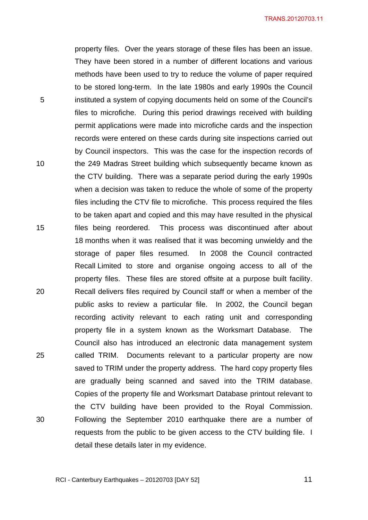property files. Over the years storage of these files has been an issue. They have been stored in a number of different locations and various methods have been used to try to reduce the volume of paper required to be stored long-term. In the late 1980s and early 1990s the Council instituted a system of copying documents held on some of the Council's files to microfiche. During this period drawings received with building permit applications were made into microfiche cards and the inspection records were entered on these cards during site inspections carried out by Council inspectors. This was the case for the inspection records of the 249 Madras Street building which subsequently became known as the CTV building. There was a separate period during the early 1990s when a decision was taken to reduce the whole of some of the property files including the CTV file to microfiche. This process required the files to be taken apart and copied and this may have resulted in the physical files being reordered. This process was discontinued after about 18 months when it was realised that it was becoming unwieldy and the storage of paper files resumed. In 2008 the Council contracted Recall Limited to store and organise ongoing access to all of the property files. These files are stored offsite at a purpose built facility. Recall delivers files required by Council staff or when a member of the public asks to review a particular file. In 2002, the Council began recording activity relevant to each rating unit and corresponding property file in a system known as the Worksmart Database. The Council also has introduced an electronic data management system called TRIM. Documents relevant to a particular property are now saved to TRIM under the property address. The hard copy property files are gradually being scanned and saved into the TRIM database. Copies of the property file and Worksmart Database printout relevant to the CTV building have been provided to the Royal Commission. Following the September 2010 earthquake there are a number of requests from the public to be given access to the CTV building file. I detail these details later in my evidence.

RCI - Canterbury Earthquakes – 20120703 [DAY 52]

5

10

15

20

25

30

 $\sim$  11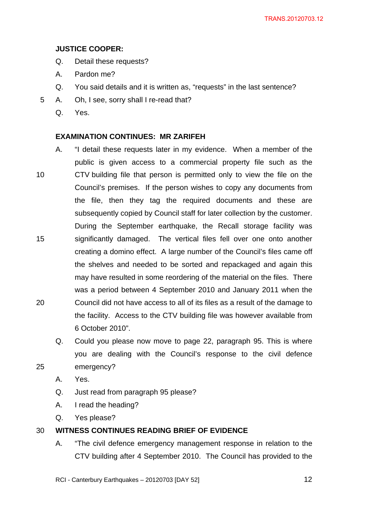# **JUSTICE COOPER:**

- Q. Detail these requests?
- A. Pardon me?
- Q. You said details and it is written as, "requests" in the last sentence?
- 5 A. Oh, I see, sorry shall I re-read that?
	- Q. Yes.

# **EXAMINATION CONTINUES: MR ZARIFEH**

- 10 15 20 A. "I detail these requests later in my evidence. When a member of the public is given access to a commercial property file such as the CTV building file that person is permitted only to view the file on the Council's premises. If the person wishes to copy any documents from the file, then they tag the required documents and these are subsequently copied by Council staff for later collection by the customer. During the September earthquake, the Recall storage facility was significantly damaged. The vertical files fell over one onto another creating a domino effect. A large number of the Council's files came off the shelves and needed to be sorted and repackaged and again this may have resulted in some reordering of the material on the files. There was a period between 4 September 2010 and January 2011 when the Council did not have access to all of its files as a result of the damage to the facility. Access to the CTV building file was however available from 6 October 2010".
	- Q. Could you please now move to page 22, paragraph 95. This is where you are dealing with the Council's response to the civil defence emergency?
	- A. Yes.

25

- Q. Just read from paragraph 95 please?
- A. I read the heading?
- Q. Yes please?

#### 30 **WITNESS CONTINUES READING BRIEF OF EVIDENCE**

A. "The civil defence emergency management response in relation to the CTV building after 4 September 2010. The Council has provided to the

RCI - Canterbury Earthquakes – 20120703 [DAY 52]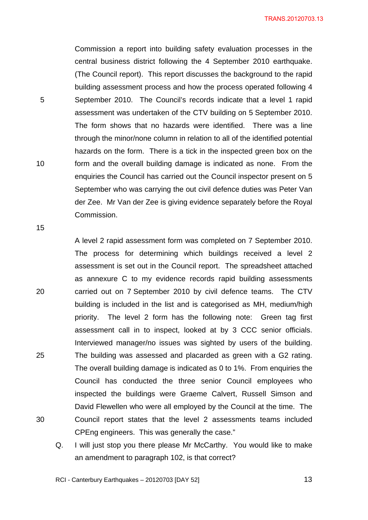TRANS.20120703.13

Commission a report into building safety evaluation processes in the central business district following the 4 September 2010 earthquake. (The Council report). This report discusses the background to the rapid building assessment process and how the process operated following 4 September 2010. The Council's records indicate that a level 1 rapid assessment was undertaken of the CTV building on 5 September 2010. The form shows that no hazards were identified. There was a line through the minor/none column in relation to all of the identified potential hazards on the form. There is a tick in the inspected green box on the form and the overall building damage is indicated as none. From the enquiries the Council has carried out the Council inspector present on 5 September who was carrying the out civil defence duties was Peter Van der Zee. Mr Van der Zee is giving evidence separately before the Royal Commission.

15

10

5

20 25 30 A level 2 rapid assessment form was completed on 7 September 2010. The process for determining which buildings received a level 2 assessment is set out in the Council report. The spreadsheet attached as annexure C to my evidence records rapid building assessments carried out on 7 September 2010 by civil defence teams. The CTV building is included in the list and is categorised as MH, medium/high priority. The level 2 form has the following note: Green tag first assessment call in to inspect, looked at by 3 CCC senior officials. Interviewed manager/no issues was sighted by users of the building. The building was assessed and placarded as green with a G2 rating. The overall building damage is indicated as 0 to 1%. From enquiries the Council has conducted the three senior Council employees who inspected the buildings were Graeme Calvert, Russell Simson and David Flewellen who were all employed by the Council at the time. The Council report states that the level 2 assessments teams included CPEng engineers. This was generally the case."

Q. I will just stop you there please Mr McCarthy. You would like to make an amendment to paragraph 102, is that correct?

RCI - Canterbury Earthquakes – 20120703 [DAY 52]

 $\sim$  13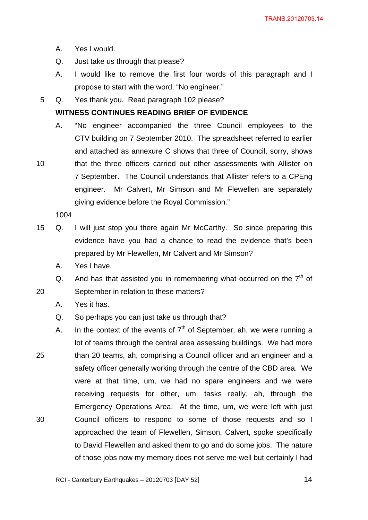- A. Yes I would.
- Q. Just take us through that please?
- A. I would like to remove the first four words of this paragraph and I propose to start with the word, "No engineer."
- 5 Q. Yes thank you. Read paragraph 102 please?

### **WITNESS CONTINUES READING BRIEF OF EVIDENCE**

A. "No engineer accompanied the three Council employees to the CTV building on 7 September 2010. The spreadsheet referred to earlier and attached as annexure C shows that three of Council, sorry, shows that the three officers carried out other assessments with Allister on 7 September. The Council understands that Allister refers to a CPEng engineer. Mr Calvert, Mr Simson and Mr Flewellen are separately giving evidence before the Royal Commission."

1004

10

20

- 15 Q. I will just stop you there again Mr McCarthy. So since preparing this evidence have you had a chance to read the evidence that's been prepared by Mr Flewellen, Mr Calvert and Mr Simson?
	- A. Yes I have.

Q. And has that assisted you in remembering what occurred on the  $7<sup>th</sup>$  of September in relation to these matters?

- A. Yes it has.
- Q. So perhaps you can just take us through that?
- 25 30 A. In the context of the events of  $7<sup>th</sup>$  of September, ah, we were running a lot of teams through the central area assessing buildings. We had more than 20 teams, ah, comprising a Council officer and an engineer and a safety officer generally working through the centre of the CBD area. We were at that time, um, we had no spare engineers and we were receiving requests for other, um, tasks really, ah, through the Emergency Operations Area. At the time, um, we were left with just Council officers to respond to some of those requests and so I approached the team of Flewellen, Simson, Calvert, spoke specifically to David Flewellen and asked them to go and do some jobs. The nature of those jobs now my memory does not serve me well but certainly I had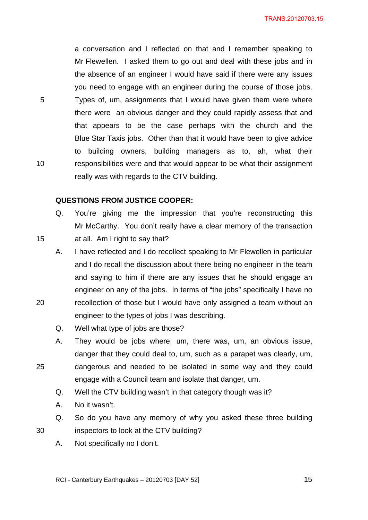a conversation and I reflected on that and I remember speaking to Mr Flewellen. I asked them to go out and deal with these jobs and in the absence of an engineer I would have said if there were any issues you need to engage with an engineer during the course of those jobs. Types of, um, assignments that I would have given them were where there were an obvious danger and they could rapidly assess that and that appears to be the case perhaps with the church and the Blue Star Taxis jobs. Other than that it would have been to give advice to building owners, building managers as to, ah, what their responsibilities were and that would appear to be what their assignment really was with regards to the CTV building.

#### **QUESTIONS FROM JUSTICE COOPER:**

5

<span id="page-14-0"></span>10

15

20

25

30

- Q. You're giving me the impression that you're reconstructing this Mr McCarthy. You don't really have a clear memory of the transaction at all. Am I right to say that?
- A. I have reflected and I do recollect speaking to Mr Flewellen in particular and I do recall the discussion about there being no engineer in the team and saying to him if there are any issues that he should engage an engineer on any of the jobs. In terms of "the jobs" specifically I have no recollection of those but I would have only assigned a team without an engineer to the types of jobs I was describing.
- Q. Well what type of jobs are those?
- A. They would be jobs where, um, there was, um, an obvious issue, danger that they could deal to, um, such as a parapet was clearly, um, dangerous and needed to be isolated in some way and they could engage with a Council team and isolate that danger, um.
	- Q. Well the CTV building wasn't in that category though was it?
	- A. No it wasn't.
- Q. So do you have any memory of why you asked these three building inspectors to look at the CTV building?
	- A. Not specifically no I don't.

 $\sim$  15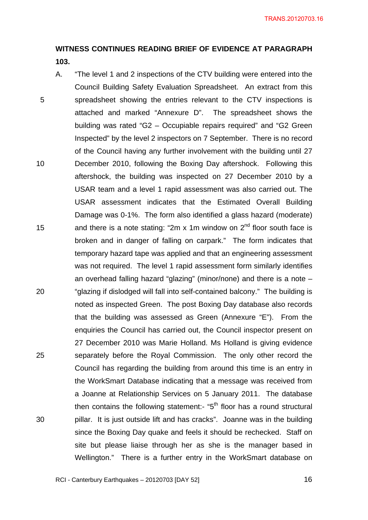# **WITNESS CONTINUES READING BRIEF OF EVIDENCE AT PARAGRAPH 103.**

5 10 15 20 25 30 A. "The level 1 and 2 inspections of the CTV building were entered into the Council Building Safety Evaluation Spreadsheet. An extract from this spreadsheet showing the entries relevant to the CTV inspections is attached and marked "Annexure D". The spreadsheet shows the building was rated "G2 – Occupiable repairs required" and "G2 Green Inspected" by the level 2 inspectors on 7 September. There is no record of the Council having any further involvement with the building until 27 December 2010, following the Boxing Day aftershock. Following this aftershock, the building was inspected on 27 December 2010 by a USAR team and a level 1 rapid assessment was also carried out. The USAR assessment indicates that the Estimated Overall Building Damage was 0-1%. The form also identified a glass hazard (moderate) and there is a note stating: "2m x 1m window on  $2^{nd}$  floor south face is broken and in danger of falling on carpark." The form indicates that temporary hazard tape was applied and that an engineering assessment was not required. The level 1 rapid assessment form similarly identifies an overhead falling hazard "glazing" (minor/none) and there is a note – "glazing if dislodged will fall into self-contained balcony." The building is noted as inspected Green. The post Boxing Day database also records that the building was assessed as Green (Annexure "E"). From the enquiries the Council has carried out, the Council inspector present on 27 December 2010 was Marie Holland. Ms Holland is giving evidence separately before the Royal Commission. The only other record the Council has regarding the building from around this time is an entry in the WorkSmart Database indicating that a message was received from a Joanne at Relationship Services on 5 January 2011. The database then contains the following statement:- " $5<sup>th</sup>$  floor has a round structural pillar. It is just outside lift and has cracks". Joanne was in the building since the Boxing Day quake and feels it should be rechecked. Staff on site but please liaise through her as she is the manager based in Wellington." There is a further entry in the WorkSmart database on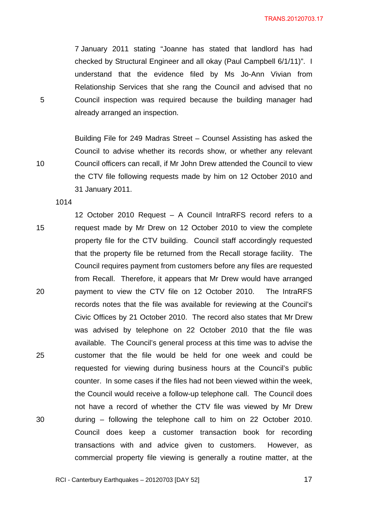7 January 2011 stating "Joanne has stated that landlord has had checked by Structural Engineer and all okay (Paul Campbell 6/1/11)". I understand that the evidence filed by Ms Jo-Ann Vivian from Relationship Services that she rang the Council and advised that no Council inspection was required because the building manager had already arranged an inspection.

Building File for 249 Madras Street – Counsel Assisting has asked the Council to advise whether its records show, or whether any relevant Council officers can recall, if Mr John Drew attended the Council to view the CTV file following requests made by him on 12 October 2010 and 31 January 2011.

1014

15 20 25 30 12 October 2010 Request – A Council IntraRFS record refers to a request made by Mr Drew on 12 October 2010 to view the complete property file for the CTV building. Council staff accordingly requested that the property file be returned from the Recall storage facility. The Council requires payment from customers before any files are requested from Recall. Therefore, it appears that Mr Drew would have arranged payment to view the CTV file on 12 October 2010. The IntraRFS records notes that the file was available for reviewing at the Council's Civic Offices by 21 October 2010. The record also states that Mr Drew was advised by telephone on 22 October 2010 that the file was available. The Council's general process at this time was to advise the customer that the file would be held for one week and could be requested for viewing during business hours at the Council's public counter. In some cases if the files had not been viewed within the week, the Council would receive a follow-up telephone call. The Council does not have a record of whether the CTV file was viewed by Mr Drew during – following the telephone call to him on 22 October 2010. Council does keep a customer transaction book for recording transactions with and advice given to customers. However, as commercial property file viewing is generally a routine matter, at the

5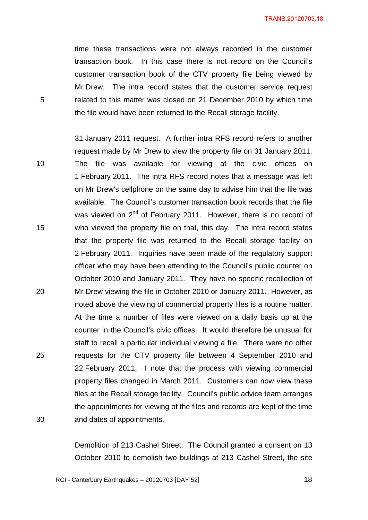TRANS.20120703.18

time these transactions were not always recorded in the customer transaction book. In this case there is not record on the Council's customer transaction book of the CTV property file being viewed by Mr Drew. The intra record states that the customer service request related to this matter was closed on 21 December 2010 by which time the file would have been returned to the Recall storage facility.

5

10 15 20 25 30 31 January 2011 request. A further intra RFS record refers to another request made by Mr Drew to view the property file on 31 January 2011. The file was available for viewing at the civic offices on 1 February 2011. The intra RFS record notes that a message was left on Mr Drew's cellphone on the same day to advise him that the file was available. The Council's customer transaction book records that the file was viewed on 2<sup>nd</sup> of February 2011. However, there is no record of who viewed the property file on that, this day. The intra record states that the property file was returned to the Recall storage facility on 2 February 2011. Inquiries have been made of the regulatory support officer who may have been attending to the Council's public counter on October 2010 and January 2011. They have no specific recollection of Mr Drew viewing the file in October 2010 or January 2011. However, as noted above the viewing of commercial property files is a routine matter. At the time a number of files were viewed on a daily basis up at the counter in the Council's civic offices. It would therefore be unusual for staff to recall a particular individual viewing a file. There were no other requests for the CTV property file between 4 September 2010 and 22 February 2011. I note that the process with viewing commercial property files changed in March 2011. Customers can now view these files at the Recall storage facility. Council's public advice team arranges the appointments for viewing of the files and records are kept of the time and dates of appointments.

> Demolition of 213 Cashel Street. The Council granted a consent on 13 October 2010 to demolish two buildings at 213 Cashel Street, the site

RCI - Canterbury Earthquakes – 20120703 [DAY 52]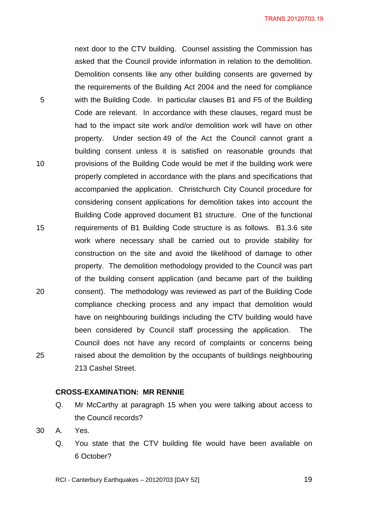TRANS.20120703.19

next door to the CTV building. Counsel assisting the Commission has asked that the Council provide information in relation to the demolition. Demolition consents like any other building consents are governed by the requirements of the Building Act 2004 and the need for compliance with the Building Code. In particular clauses B1 and F5 of the Building Code are relevant. In accordance with these clauses, regard must be had to the impact site work and/or demolition work will have on other property. Under section 49 of the Act the Council cannot grant a building consent unless it is satisfied on reasonable grounds that provisions of the Building Code would be met if the building work were properly completed in accordance with the plans and specifications that accompanied the application. Christchurch City Council procedure for considering consent applications for demolition takes into account the Building Code approved document B1 structure. One of the functional requirements of B1 Building Code structure is as follows. B1.3.6 site work where necessary shall be carried out to provide stability for construction on the site and avoid the likelihood of damage to other property. The demolition methodology provided to the Council was part of the building consent application (and became part of the building consent). The methodology was reviewed as part of the Building Code compliance checking process and any impact that demolition would have on neighbouring buildings including the CTV building would have been considered by Council staff processing the application. The Council does not have any record of complaints or concerns being raised about the demolition by the occupants of buildings neighbouring 213 Cashel Street.

### **CROSS-EXAMINATION: MR RENNIE**

- Q. Mr McCarthy at paragraph 15 when you were talking about access to the Council records?
- 30 A. Yes.

5

10

15

20

<span id="page-18-0"></span>25

Q. You state that the CTV building file would have been available on 6 October?

RCI - Canterbury Earthquakes – 20120703 [DAY 52]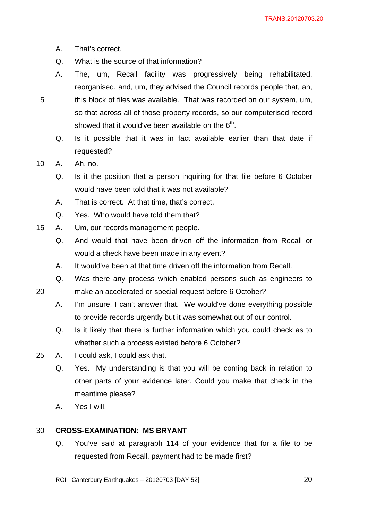- A. That's correct.
- Q. What is the source of that information?
- A. The, um, Recall facility was progressively being rehabilitated, reorganised, and, um, they advised the Council records people that, ah, this block of files was available. That was recorded on our system, um, so that across all of those property records, so our computerised record showed that it would've been available on the  $6<sup>th</sup>$ .
	- Q. Is it possible that it was in fact available earlier than that date if requested?
- 10 A. Ah, no.

20

- Q. Is it the position that a person inquiring for that file before 6 October would have been told that it was not available?
- A. That is correct. At that time, that's correct.
- Q. Yes. Who would have told them that?
- 15 A. Um, our records management people.
	- Q. And would that have been driven off the information from Recall or would a check have been made in any event?
	- A. It would've been at that time driven off the information from Recall.
	- Q. Was there any process which enabled persons such as engineers to
	- make an accelerated or special request before 6 October?
		- A. I'm unsure, I can't answer that. We would've done everything possible to provide records urgently but it was somewhat out of our control.
		- Q. Is it likely that there is further information which you could check as to whether such a process existed before 6 October?
- 25 A. I could ask, I could ask that.
	- Q. Yes. My understanding is that you will be coming back in relation to other parts of your evidence later. Could you make that check in the meantime please?
	- A. Yes I will.

#### <span id="page-19-0"></span>30 **CROSS-EXAMINATION: MS BRYANT**

Q. You've said at paragraph 114 of your evidence that for a file to be requested from Recall, payment had to be made first?

RCI - Canterbury Earthquakes – 20120703 [DAY 52]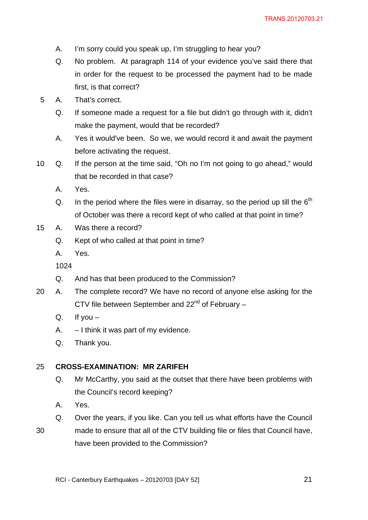- A. I'm sorry could you speak up, I'm struggling to hear you?
- Q. No problem. At paragraph 114 of your evidence you've said there that in order for the request to be processed the payment had to be made first, is that correct?
- 5 A. That's correct.
	- Q. If someone made a request for a file but didn't go through with it, didn't make the payment, would that be recorded?
	- A. Yes it would've been. So we, we would record it and await the payment before activating the request.
- 10 Q. If the person at the time said, "Oh no I'm not going to go ahead," would that be recorded in that case?
	- A. Yes.
	- Q. In the period where the files were in disarray, so the period up till the  $6<sup>th</sup>$ of October was there a record kept of who called at that point in time?
- 15 A. Was there a record?
	- Q. Kept of who called at that point in time?
	- A. Yes.

- Q. And has that been produced to the Commission?
- 20 A. The complete record? We have no record of anyone else asking for the CTV file between September and  $22<sup>nd</sup>$  of February –
	- Q. If you  $-$
	- A. I think it was part of my evidence.
	- Q. Thank you.

#### <span id="page-20-0"></span>25 **CROSS-EXAMINATION: MR ZARIFEH**

- Q. Mr McCarthy, you said at the outset that there have been problems with the Council's record keeping?
- A. Yes.
- Q. Over the years, if you like. Can you tell us what efforts have the Council
- 30 made to ensure that all of the CTV building file or files that Council have, have been provided to the Commission?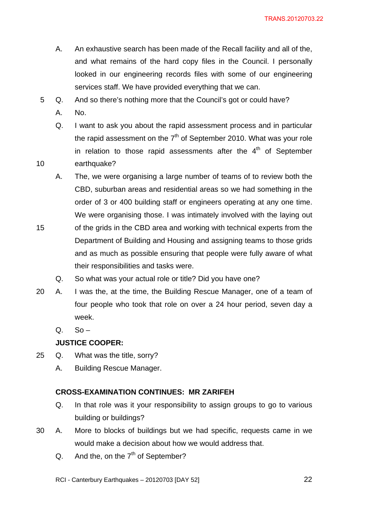TRANS.20120703.22

- A. An exhaustive search has been made of the Recall facility and all of the, and what remains of the hard copy files in the Council. I personally looked in our engineering records files with some of our engineering services staff. We have provided everything that we can.
- 5 Q. And so there's nothing more that the Council's got or could have?
	- A. No.

10

- Q. I want to ask you about the rapid assessment process and in particular the rapid assessment on the  $7<sup>th</sup>$  of September 2010. What was your role in relation to those rapid assessments after the  $4<sup>th</sup>$  of September earthquake?
- A. The, we were organising a large number of teams of to review both the CBD, suburban areas and residential areas so we had something in the order of 3 or 400 building staff or engineers operating at any one time. We were organising those. I was intimately involved with the laying out
- 15 of the grids in the CBD area and working with technical experts from the Department of Building and Housing and assigning teams to those grids and as much as possible ensuring that people were fully aware of what their responsibilities and tasks were.
	- Q. So what was your actual role or title? Did you have one?
- 20 A. I was the, at the time, the Building Rescue Manager, one of a team of four people who took that role on over a 24 hour period, seven day a week.
	- $Q.$  So –

# **JUSTICE COOPER:**

- 25 Q. What was the title, sorry?
	- A. Building Rescue Manager.

# **CROSS-EXAMINATION CONTINUES: MR ZARIFEH**

- Q. In that role was it your responsibility to assign groups to go to various building or buildings?
- 30 A. More to blocks of buildings but we had specific, requests came in we would make a decision about how we would address that.
	- $Q.$  And the, on the  $7<sup>th</sup>$  of September?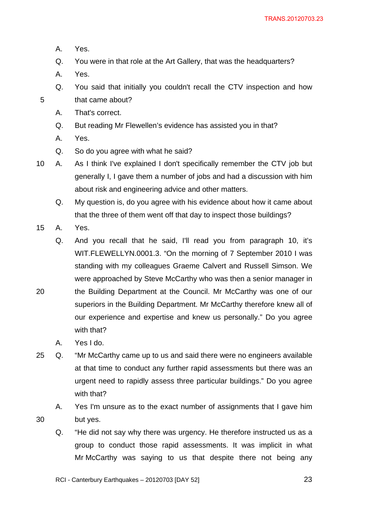- A. Yes.
- Q. You were in that role at the Art Gallery, that was the headquarters?
- A. Yes.

- Q. You said that initially you couldn't recall the CTV inspection and how that came about?
- A. That's correct.
- Q. But reading Mr Flewellen's evidence has assisted you in that?
- A. Yes.
- Q. So do you agree with what he said?
- 10 A. As I think I've explained I don't specifically remember the CTV job but generally I, I gave them a number of jobs and had a discussion with him about risk and engineering advice and other matters.
	- Q. My question is, do you agree with his evidence about how it came about that the three of them went off that day to inspect those buildings?
- 15 A. Yes.

20

30

Q. And you recall that he said, I'll read you from paragraph 10, it's WIT.FLEWELLYN.0001.3. "On the morning of 7 September 2010 I was standing with my colleagues Graeme Calvert and Russell Simson. We were approached by Steve McCarthy who was then a senior manager in the Building Department at the Council. Mr McCarthy was one of our superiors in the Building Department. Mr McCarthy therefore knew all of our experience and expertise and knew us personally." Do you agree with that?

- A. Yes I do.
- 25 Q. "Mr McCarthy came up to us and said there were no engineers available at that time to conduct any further rapid assessments but there was an urgent need to rapidly assess three particular buildings." Do you agree with that?
	- A. Yes I'm unsure as to the exact number of assignments that I gave him but yes.
		- Q. "He did not say why there was urgency. He therefore instructed us as a group to conduct those rapid assessments. It was implicit in what Mr McCarthy was saying to us that despite there not being any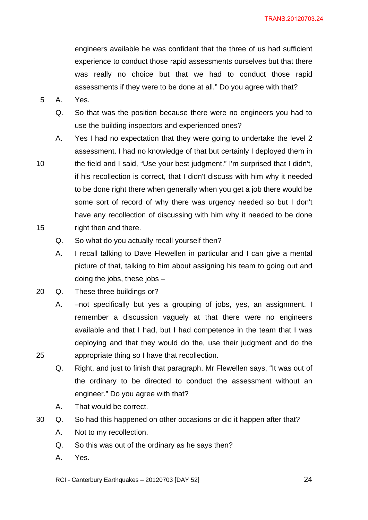engineers available he was confident that the three of us had sufficient experience to conduct those rapid assessments ourselves but that there was really no choice but that we had to conduct those rapid assessments if they were to be done at all." Do you agree with that?

5 A. Yes.

10

15

25

- Q. So that was the position because there were no engineers you had to use the building inspectors and experienced ones?
- A. Yes I had no expectation that they were going to undertake the level 2 assessment. I had no knowledge of that but certainly I deployed them in the field and I said, "Use your best judgment." I'm surprised that I didn't, if his recollection is correct, that I didn't discuss with him why it needed to be done right there when generally when you get a job there would be some sort of record of why there was urgency needed so but I don't have any recollection of discussing with him why it needed to be done right then and there.
	- Q. So what do you actually recall yourself then?
	- A. I recall talking to Dave Flewellen in particular and I can give a mental picture of that, talking to him about assigning his team to going out and doing the jobs, these jobs –
- 20 Q. These three buildings or?
	- A. –not specifically but yes a grouping of jobs, yes, an assignment. I remember a discussion vaguely at that there were no engineers available and that I had, but I had competence in the team that I was deploying and that they would do the, use their judgment and do the appropriate thing so I have that recollection.
	- Q. Right, and just to finish that paragraph, Mr Flewellen says, "It was out of the ordinary to be directed to conduct the assessment without an engineer." Do you agree with that?
	- A. That would be correct.
- 30 Q. So had this happened on other occasions or did it happen after that?
	- A. Not to my recollection.
	- Q. So this was out of the ordinary as he says then?
	- A. Yes.

RCI - Canterbury Earthquakes – 20120703 [DAY 52]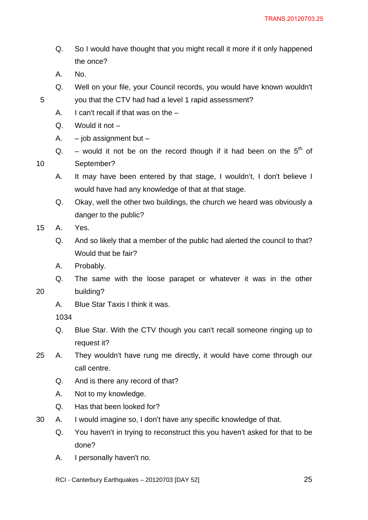- Q. So I would have thought that you might recall it more if it only happened the once?
- A. No.

10

20

- Q. Well on your file, your Council records, you would have known wouldn't you that the CTV had had a level 1 rapid assessment?
- A. I can't recall if that was on the –
- Q. Would it not –
- A.  $-$  job assignment but  $-$
- Q. would it not be on the record though if it had been on the  $5<sup>th</sup>$  of September?
- A. It may have been entered by that stage, I wouldn't, I don't believe I would have had any knowledge of that at that stage.
- Q. Okay, well the other two buildings, the church we heard was obviously a danger to the public?
- 15 A. Yes.
	- Q. And so likely that a member of the public had alerted the council to that? Would that be fair?
	- A. Probably.
	- Q. The same with the loose parapet or whatever it was in the other building?
	- A. Blue Star Taxis I think it was.

- Q. Blue Star. With the CTV though you can't recall someone ringing up to request it?
- 25 A. They wouldn't have rung me directly, it would have come through our call centre.
	- Q. And is there any record of that?
	- A. Not to my knowledge.
	- Q. Has that been looked for?
- 30 A. I would imagine so, I don't have any specific knowledge of that.
	- Q. You haven't in trying to reconstruct this you haven't asked for that to be done?
	- A. I personally haven't no.
	- RCI Canterbury Earthquakes 20120703 [DAY 52]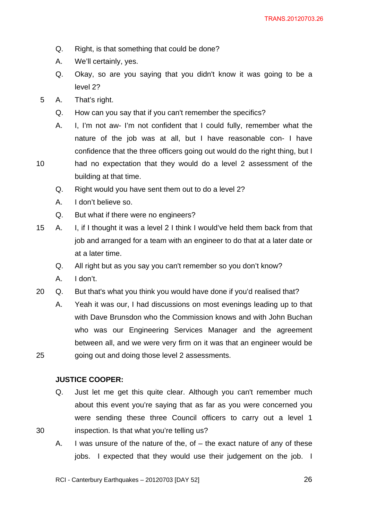- Q. Right, is that something that could be done?
- A. We'll certainly, yes.
- Q. Okay, so are you saying that you didn't know it was going to be a level 2?
- 5 A. That's right.
	- Q. How can you say that if you can't remember the specifics?
	- A. I, I'm not aw- I'm not confident that I could fully, remember what the nature of the job was at all, but I have reasonable con- I have confidence that the three officers going out would do the right thing, but I
- 10 had no expectation that they would do a level 2 assessment of the building at that time.
	- Q. Right would you have sent them out to do a level 2?
	- A. I don't believe so.
	- Q. But what if there were no engineers?
- 15 A. I, if I thought it was a level 2 I think I would've held them back from that job and arranged for a team with an engineer to do that at a later date or at a later time.
	- Q. All right but as you say you can't remember so you don't know?
	- A. I don't.

30

- 20 Q. But that's what you think you would have done if you'd realised that?
	- A. Yeah it was our, I had discussions on most evenings leading up to that with Dave Brunsdon who the Commission knows and with John Buchan who was our Engineering Services Manager and the agreement between all, and we were very firm on it was that an engineer would be going out and doing those level 2 assessments.

### **JUSTICE COOPER:**

- Q. Just let me get this quite clear. Although you can't remember much about this event you're saying that as far as you were concerned you were sending these three Council officers to carry out a level 1 inspection. Is that what you're telling us?
- A. I was unsure of the nature of the, of the exact nature of any of these jobs. I expected that they would use their judgement on the job. I

RCI - Canterbury Earthquakes – 20120703 [DAY 52]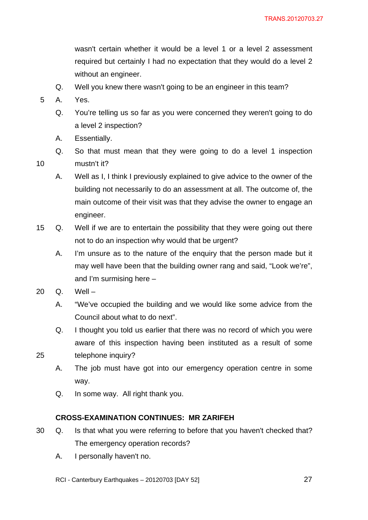wasn't certain whether it would be a level 1 or a level 2 assessment required but certainly I had no expectation that they would do a level 2 without an engineer.

- Q. Well you knew there wasn't going to be an engineer in this team?
- 5 A. Yes.

10

- Q. You're telling us so far as you were concerned they weren't going to do a level 2 inspection?
- A. Essentially.
- Q. So that must mean that they were going to do a level 1 inspection mustn't it?
- A. Well as I, I think I previously explained to give advice to the owner of the building not necessarily to do an assessment at all. The outcome of, the main outcome of their visit was that they advise the owner to engage an engineer.
- 15 Q. Well if we are to entertain the possibility that they were going out there not to do an inspection why would that be urgent?
	- A. I'm unsure as to the nature of the enquiry that the person made but it may well have been that the building owner rang and said, "Look we're", and I'm surmising here –
- 20 Q. Well –

25

- A. "We've occupied the building and we would like some advice from the Council about what to do next".
- Q. I thought you told us earlier that there was no record of which you were aware of this inspection having been instituted as a result of some telephone inquiry?
- A. The job must have got into our emergency operation centre in some way.
- Q. In some way. All right thank you.

### **CROSS-EXAMINATION CONTINUES: MR ZARIFEH**

- 30 Q. Is that what you were referring to before that you haven't checked that? The emergency operation records?
	- A. I personally haven't no.
	- RCI Canterbury Earthquakes 20120703 [DAY 52]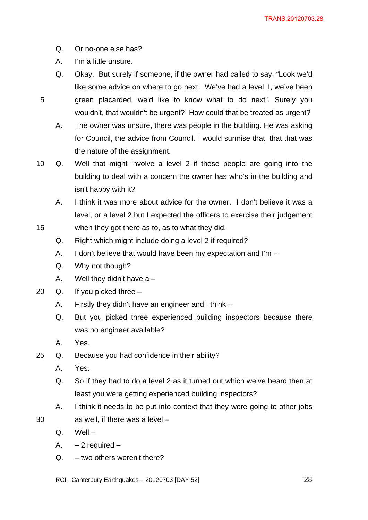- Q. Or no-one else has?
- A. I'm a little unsure.

15

- Q. Okay. But surely if someone, if the owner had called to say, "Look we'd like some advice on where to go next. We've had a level 1, we've been green placarded, we'd like to know what to do next". Surely you wouldn't, that wouldn't be urgent? How could that be treated as urgent?
- A. The owner was unsure, there was people in the building. He was asking for Council, the advice from Council. I would surmise that, that that was the nature of the assignment.
- 10 Q. Well that might involve a level 2 if these people are going into the building to deal with a concern the owner has who's in the building and isn't happy with it?
	- A. I think it was more about advice for the owner. I don't believe it was a level, or a level 2 but I expected the officers to exercise their judgement when they got there as to, as to what they did.
	- Q. Right which might include doing a level 2 if required?
	- A. I don't believe that would have been my expectation and I'm –
	- Q. Why not though?
	- A. Well they didn't have  $a -$
- 20 Q. If you picked three
	- A. Firstly they didn't have an engineer and I think –
	- Q. But you picked three experienced building inspectors because there was no engineer available?
	- A. Yes.
- 25 Q. Because you had confidence in their ability?
	- A. Yes.
	- Q. So if they had to do a level 2 as it turned out which we've heard then at least you were getting experienced building inspectors?
	- A. I think it needs to be put into context that they were going to other jobs as well, if there was a level –
	- Q. Well –

- A.  $-2$  required  $-$
- $Q. -$  two others weren't there?
- RCI Canterbury Earthquakes 20120703 [DAY 52]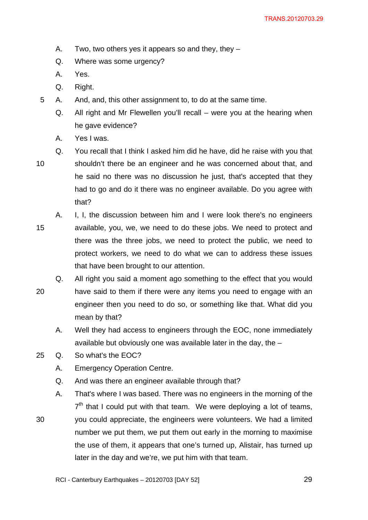- A. Two, two others yes it appears so and they, they –
- Q. Where was some urgency?
- A. Yes.
- Q. Right.
- 5 A. And, and, this other assignment to, to do at the same time.
	- Q. All right and Mr Flewellen you'll recall were you at the hearing when he gave evidence?
	- A. Yes I was.
- 10 Q. You recall that I think I asked him did he have, did he raise with you that shouldn't there be an engineer and he was concerned about that, and he said no there was no discussion he just, that's accepted that they had to go and do it there was no engineer available. Do you agree with that?
- 15 A. I, I, the discussion between him and I were look there's no engineers available, you, we, we need to do these jobs. We need to protect and there was the three jobs, we need to protect the public, we need to protect workers, we need to do what we can to address these issues that have been brought to our attention.
- 20 Q. All right you said a moment ago something to the effect that you would have said to them if there were any items you need to engage with an engineer then you need to do so, or something like that. What did you mean by that?
	- A. Well they had access to engineers through the EOC, none immediately available but obviously one was available later in the day, the –
- 25 Q. So what's the EOC?
	- A. Emergency Operation Centre.
	- Q. And was there an engineer available through that?
- 30 A. That's where I was based. There was no engineers in the morning of the  $7<sup>th</sup>$  that I could put with that team. We were deploying a lot of teams, you could appreciate, the engineers were volunteers. We had a limited number we put them, we put them out early in the morning to maximise the use of them, it appears that one's turned up, Alistair, has turned up later in the day and we're, we put him with that team.
	- RCI Canterbury Earthquakes 20120703 [DAY 52]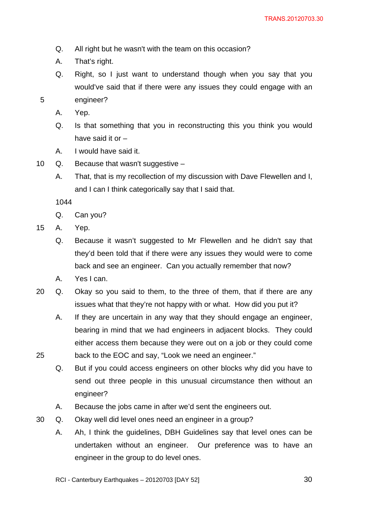- Q. All right but he wasn't with the team on this occasion?
- A. That's right.
- Q. Right, so I just want to understand though when you say that you would've said that if there were any issues they could engage with an engineer?
- A. Yep.

- Q. Is that something that you in reconstructing this you think you would have said it or –
- A. I would have said it.
- 10 Q. Because that wasn't suggestive
	- A. That, that is my recollection of my discussion with Dave Flewellen and I, and I can I think categorically say that I said that.

1044

- Q. Can you?
- 15 A. Yep.

- Q. Because it wasn't suggested to Mr Flewellen and he didn't say that they'd been told that if there were any issues they would were to come back and see an engineer. Can you actually remember that now?
- A. Yes I can.
- 20 Q. Okay so you said to them, to the three of them, that if there are any issues what that they're not happy with or what. How did you put it?
	- A. If they are uncertain in any way that they should engage an engineer, bearing in mind that we had engineers in adjacent blocks. They could either access them because they were out on a job or they could come back to the EOC and say, "Look we need an engineer."
	- Q. But if you could access engineers on other blocks why did you have to send out three people in this unusual circumstance then without an engineer?
	- A. Because the jobs came in after we'd sent the engineers out.
- 30 Q. Okay well did level ones need an engineer in a group?
	- A. Ah, I think the guidelines, DBH Guidelines say that level ones can be undertaken without an engineer. Our preference was to have an engineer in the group to do level ones.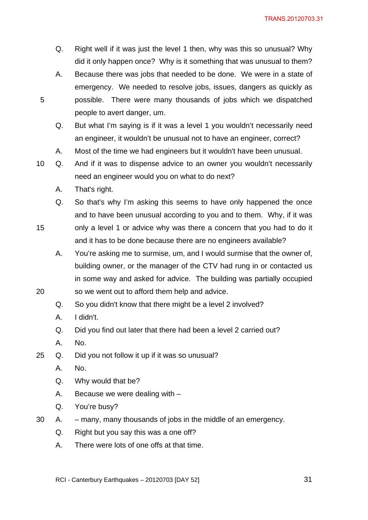- Q. Right well if it was just the level 1 then, why was this so unusual? Why did it only happen once? Why is it something that was unusual to them?
- A. Because there was jobs that needed to be done. We were in a state of emergency. We needed to resolve jobs, issues, dangers as quickly as possible. There were many thousands of jobs which we dispatched people to avert danger, um.
- Q. But what I'm saying is if it was a level 1 you wouldn't necessarily need an engineer, it wouldn't be unusual not to have an engineer, correct?
- A. Most of the time we had engineers but it wouldn't have been unusual.
- 10 Q. And if it was to dispense advice to an owner you wouldn't necessarily need an engineer would you on what to do next?
	- A. That's right.

15

- Q. So that's why I'm asking this seems to have only happened the once and to have been unusual according to you and to them. Why, if it was only a level 1 or advice why was there a concern that you had to do it
- and it has to be done because there are no engineers available?
	- A. You're asking me to surmise, um, and I would surmise that the owner of, building owner, or the manager of the CTV had rung in or contacted us in some way and asked for advice. The building was partially occupied so we went out to afford them help and advice.
	- Q. So you didn't know that there might be a level 2 involved?
	- A. I didn't.
	- Q. Did you find out later that there had been a level 2 carried out?
	- A. No.
- 25 Q. Did you not follow it up if it was so unusual?
	- A. No.
	- Q. Why would that be?
	- A. Because we were dealing with –
	- Q. You're busy?
- 30 A. many, many thousands of jobs in the middle of an emergency.
	- Q. Right but you say this was a one off?
	- A. There were lots of one offs at that time.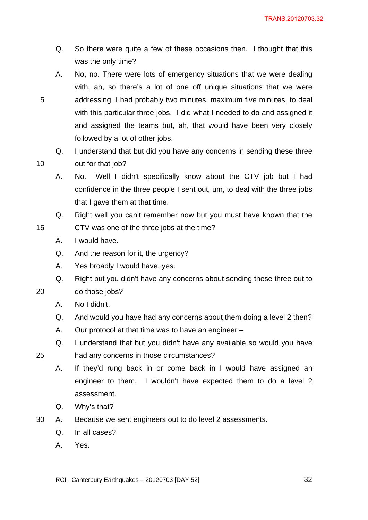- Q. So there were quite a few of these occasions then. I thought that this was the only time?
- A. No, no. There were lots of emergency situations that we were dealing with, ah, so there's a lot of one off unique situations that we were addressing. I had probably two minutes, maximum five minutes, to deal with this particular three jobs. I did what I needed to do and assigned it and assigned the teams but, ah, that would have been very closely followed by a lot of other jobs.
- Q. I understand that but did you have any concerns in sending these three out for that job?
- A. No. Well I didn't specifically know about the CTV job but I had confidence in the three people I sent out, um, to deal with the three jobs that I gave them at that time.
- Q. Right well you can't remember now but you must have known that the CTV was one of the three jobs at the time?
- A. I would have.
- Q. And the reason for it, the urgency?
- A. Yes broadly I would have, yes.
- Q. Right but you didn't have any concerns about sending these three out to

20 do those jobs?

5

10

15

- A. No I didn't.
- Q. And would you have had any concerns about them doing a level 2 then?
- A. Our protocol at that time was to have an engineer –
- Q. I understand that but you didn't have any available so would you have had any concerns in those circumstances?
- A. If they'd rung back in or come back in I would have assigned an engineer to them. I wouldn't have expected them to do a level 2 assessment.
- Q. Why's that?
- 30 A. Because we sent engineers out to do level 2 assessments.
	- Q. In all cases?
	- A. Yes.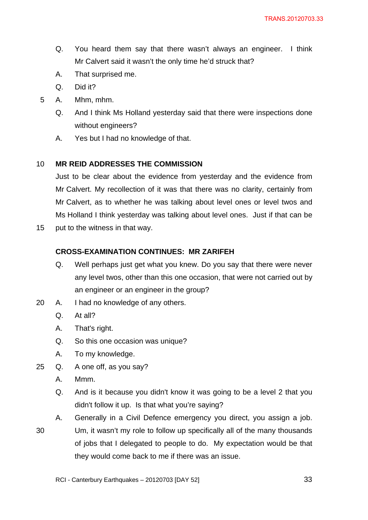- Q. You heard them say that there wasn't always an engineer. I think Mr Calvert said it wasn't the only time he'd struck that?
- A. That surprised me.
- Q. Did it?
- 5 A. Mhm, mhm.
	- Q. And I think Ms Holland yesterday said that there were inspections done without engineers?
	- A. Yes but I had no knowledge of that.

#### 10 **MR REID ADDRESSES THE COMMISSION**

Just to be clear about the evidence from yesterday and the evidence from Mr Calvert. My recollection of it was that there was no clarity, certainly from Mr Calvert, as to whether he was talking about level ones or level twos and Ms Holland I think yesterday was talking about level ones. Just if that can be

15 put to the witness in that way.

### **CROSS-EXAMINATION CONTINUES: MR ZARIFEH**

- Q. Well perhaps just get what you knew. Do you say that there were never any level twos, other than this one occasion, that were not carried out by an engineer or an engineer in the group?
- 20 A. I had no knowledge of any others.
	- Q. At all?
	- A. That's right.
	- Q. So this one occasion was unique?
	- A. To my knowledge.
- 25 Q. A one off, as you say?
	- A. Mmm.
	- Q. And is it because you didn't know it was going to be a level 2 that you didn't follow it up. Is that what you're saying?
- 30 A. Generally in a Civil Defence emergency you direct, you assign a job. Um, it wasn't my role to follow up specifically all of the many thousands of jobs that I delegated to people to do. My expectation would be that they would come back to me if there was an issue.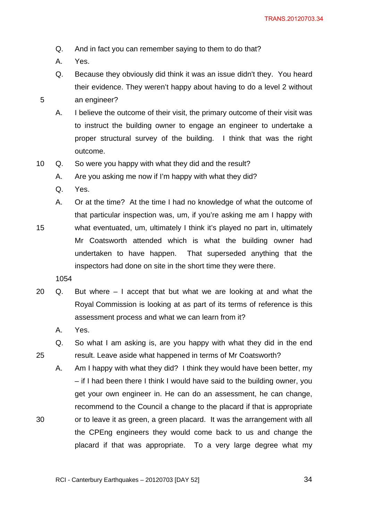- Q. And in fact you can remember saying to them to do that?
- A. Yes.

15

25

- Q. Because they obviously did think it was an issue didn't they. You heard their evidence. They weren't happy about having to do a level 2 without an engineer?
- A. I believe the outcome of their visit, the primary outcome of their visit was
	- to instruct the building owner to engage an engineer to undertake a proper structural survey of the building. I think that was the right outcome.
- 10 Q. So were you happy with what they did and the result?
	- A. Are you asking me now if I'm happy with what they did?
	- Q. Yes.
	- A. Or at the time? At the time I had no knowledge of what the outcome of that particular inspection was, um, if you're asking me am I happy with what eventuated, um, ultimately I think it's played no part in, ultimately Mr Coatsworth attended which is what the building owner had undertaken to have happen. That superseded anything that the inspectors had done on site in the short time they were there.
		- 1054
- 20 Q. But where I accept that but what we are looking at and what the Royal Commission is looking at as part of its terms of reference is this assessment process and what we can learn from it?
	- A. Yes.
	- Q. So what I am asking is, are you happy with what they did in the end result. Leave aside what happened in terms of Mr Coatsworth?
	- A. Am I happy with what they did? I think they would have been better, my – if I had been there I think I would have said to the building owner, you get your own engineer in. He can do an assessment, he can change, recommend to the Council a change to the placard if that is appropriate or to leave it as green, a green placard. It was the arrangement with all the CPEng engineers they would come back to us and change the placard if that was appropriate. To a very large degree what my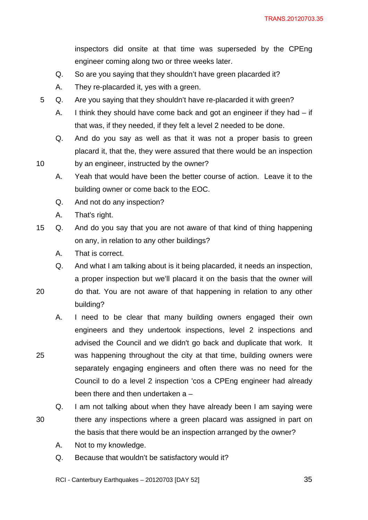inspectors did onsite at that time was superseded by the CPEng engineer coming along two or three weeks later.

- Q. So are you saying that they shouldn't have green placarded it?
- A. They re-placarded it, yes with a green.
- 5 Q. Are you saying that they shouldn't have re-placarded it with green?
	- A. I think they should have come back and got an engineer if they had if that was, if they needed, if they felt a level 2 needed to be done.
	- Q. And do you say as well as that it was not a proper basis to green placard it, that the, they were assured that there would be an inspection by an engineer, instructed by the owner?
	- A. Yeah that would have been the better course of action. Leave it to the building owner or come back to the EOC.
	- Q. And not do any inspection?
	- A. That's right.

10

25

30

- 15 Q. And do you say that you are not aware of that kind of thing happening on any, in relation to any other buildings?
	- A. That is correct.
	- Q. And what I am talking about is it being placarded, it needs an inspection, a proper inspection but we'll placard it on the basis that the owner will
- 20 do that. You are not aware of that happening in relation to any other building?
	- A. I need to be clear that many building owners engaged their own engineers and they undertook inspections, level 2 inspections and advised the Council and we didn't go back and duplicate that work. It was happening throughout the city at that time, building owners were separately engaging engineers and often there was no need for the Council to do a level 2 inspection 'cos a CPEng engineer had already been there and then undertaken a –
	- Q. I am not talking about when they have already been I am saying were there any inspections where a green placard was assigned in part on the basis that there would be an inspection arranged by the owner?
		- A. Not to my knowledge.
		- Q. Because that wouldn't be satisfactory would it?

RCI - Canterbury Earthquakes – 20120703 [DAY 52]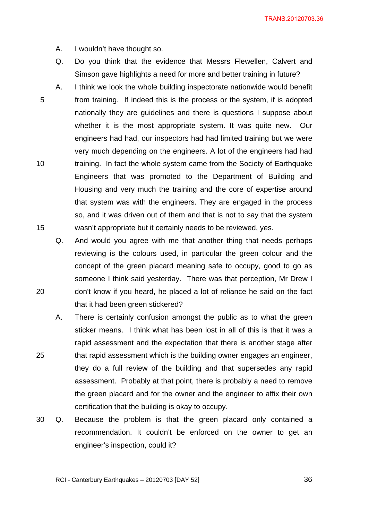TRANS.20120703.36

A. I wouldn't have thought so.

- Q. Do you think that the evidence that Messrs Flewellen, Calvert and Simson gave highlights a need for more and better training in future?
- 5 10 15 A. I think we look the whole building inspectorate nationwide would benefit from training. If indeed this is the process or the system, if is adopted nationally they are guidelines and there is questions I suppose about whether it is the most appropriate system. It was quite new. Our engineers had had, our inspectors had had limited training but we were very much depending on the engineers. A lot of the engineers had had training. In fact the whole system came from the Society of Earthquake Engineers that was promoted to the Department of Building and Housing and very much the training and the core of expertise around that system was with the engineers. They are engaged in the process so, and it was driven out of them and that is not to say that the system wasn't appropriate but it certainly needs to be reviewed, yes.
	- Q. And would you agree with me that another thing that needs perhaps reviewing is the colours used, in particular the green colour and the concept of the green placard meaning safe to occupy, good to go as someone I think said yesterday. There was that perception, Mr Drew I don't know if you heard, he placed a lot of reliance he said on the fact that it had been green stickered?
- 25 A. There is certainly confusion amongst the public as to what the green sticker means. I think what has been lost in all of this is that it was a rapid assessment and the expectation that there is another stage after that rapid assessment which is the building owner engages an engineer, they do a full review of the building and that supersedes any rapid assessment. Probably at that point, there is probably a need to remove the green placard and for the owner and the engineer to affix their own certification that the building is okay to occupy.
- 30 Q. Because the problem is that the green placard only contained a recommendation. It couldn't be enforced on the owner to get an engineer's inspection, could it?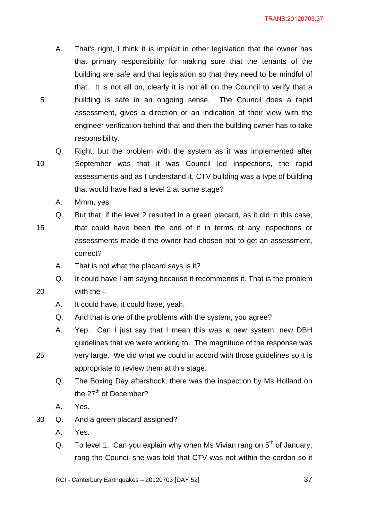- A. That's right, I think it is implicit in other legislation that the owner has that primary responsibility for making sure that the tenants of the building are safe and that legislation so that they need to be mindful of that. It is not all on, clearly it is not all on the Council to verify that a building is safe in an ongoing sense. The Council does a rapid assessment, gives a direction or an indication of their view with the engineer verification behind that and then the building owner has to take responsibility.
- 10

25

5

Q. Right, but the problem with the system as it was implemented after September was that it was Council led inspections, the rapid assessments and as I understand it, CTV building was a type of building that would have had a level 2 at some stage?

- A. Mmm, yes.
- 15 Q. But that, if the level 2 resulted in a green placard, as it did in this case, that could have been the end of it in terms of any inspections or assessments made if the owner had chosen not to get an assessment, correct?
	- A. That is not what the placard says is it?
	- Q. It could have I am saying because it recommends it. That is the problem with the –
		- A. It could have, it could have, yeah.
		- Q. And that is one of the problems with the system, you agree?
		- A. Yep. Can I just say that I mean this was a new system, new DBH guidelines that we were working to. The magnitude of the response was
	- very large. We did what we could in accord with those guidelines so it is appropriate to review them at this stage.
		- Q. The Boxing Day aftershock, there was the inspection by Ms Holland on the  $27<sup>th</sup>$  of December?
		- A. Yes.
- 30 Q. And a green placard assigned?
	- A. Yes.
	- Q. To level 1. Can you explain why when Ms Vivian rang on  $5<sup>th</sup>$  of January, rang the Council she was told that CTV was not within the cordon so it

RCI - Canterbury Earthquakes – 20120703 [DAY 52]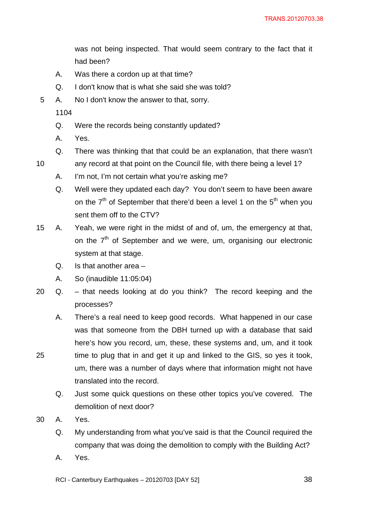was not being inspected. That would seem contrary to the fact that it had been?

- A. Was there a cordon up at that time?
- Q. I don't know that is what she said she was told?
- 5 A. No I don't know the answer to that, sorry.

1104

10

- Q. Were the records being constantly updated?
- A. Yes.
- Q. There was thinking that that could be an explanation, that there wasn't
- any record at that point on the Council file, with there being a level 1?
	- A. I'm not, I'm not certain what you're asking me?
	- Q. Well were they updated each day? You don't seem to have been aware on the  $7<sup>th</sup>$  of September that there'd been a level 1 on the  $5<sup>th</sup>$  when you sent them off to the CTV?
- 15 A. Yeah, we were right in the midst of and of, um, the emergency at that, on the  $7<sup>th</sup>$  of September and we were, um, organising our electronic system at that stage.
	- Q. Is that another area –
	- A. So (inaudible 11:05:04)
- 20 Q. that needs looking at do you think? The record keeping and the processes?
	- A. There's a real need to keep good records. What happened in our case was that someone from the DBH turned up with a database that said here's how you record, um, these, these systems and, um, and it took time to plug that in and get it up and linked to the GIS, so yes it took, um, there was a number of days where that information might not have translated into the record.
		- Q. Just some quick questions on these other topics you've covered. The demolition of next door?
- 30 A. Yes.

- Q. My understanding from what you've said is that the Council required the company that was doing the demolition to comply with the Building Act?
- A. Yes.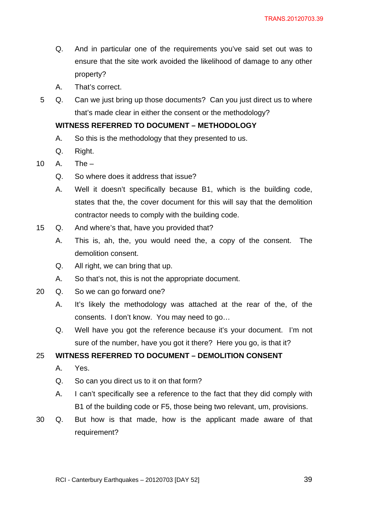- Q. And in particular one of the requirements you've said set out was to ensure that the site work avoided the likelihood of damage to any other property?
- A. That's correct.
- 5 Q. Can we just bring up those documents? Can you just direct us to where that's made clear in either the consent or the methodology?

# **WITNESS REFERRED TO DOCUMENT – METHODOLOGY**

- A. So this is the methodology that they presented to us.
- Q. Right.
- 10 A. The
	- Q. So where does it address that issue?
	- A. Well it doesn't specifically because B1, which is the building code, states that the, the cover document for this will say that the demolition contractor needs to comply with the building code.
- 15 Q. And where's that, have you provided that?
	- A. This is, ah, the, you would need the, a copy of the consent. The demolition consent.
	- Q. All right, we can bring that up.
	- A. So that's not, this is not the appropriate document.
- 20 Q. So we can go forward one?
	- A. It's likely the methodology was attached at the rear of the, of the consents. I don't know. You may need to go…
	- Q. Well have you got the reference because it's your document. I'm not sure of the number, have you got it there? Here you go, is that it?

# 25 **WITNESS REFERRED TO DOCUMENT – DEMOLITION CONSENT**

- A. Yes.
- Q. So can you direct us to it on that form?
- A. I can't specifically see a reference to the fact that they did comply with B1 of the building code or F5, those being two relevant, um, provisions.
- 30 Q. But how is that made, how is the applicant made aware of that requirement?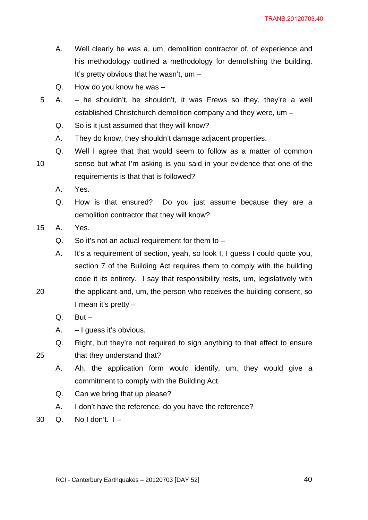- A. Well clearly he was a, um, demolition contractor of, of experience and his methodology outlined a methodology for demolishing the building. It's pretty obvious that he wasn't, um –
- Q. How do you know he was –
- 5 A. he shouldn't, he shouldn't, it was Frews so they, they're a well established Christchurch demolition company and they were, um –
	- Q. So is it just assumed that they will know?
	- A. They do know, they shouldn't damage adjacent properties.
- 10 Q. Well I agree that that would seem to follow as a matter of common sense but what I'm asking is you said in your evidence that one of the requirements is that that is followed?
	- A. Yes.
	- Q. How is that ensured? Do you just assume because they are a demolition contractor that they will know?
- 15 A. Yes.
	- Q. So it's not an actual requirement for them to –
	- A. It's a requirement of section, yeah, so look I, I guess I could quote you, section 7 of the Building Act requires them to comply with the building code it its entirety. I say that responsibility rests, um, legislatively with the applicant and, um, the person who receives the building consent, so
	-

25

- $Q.$  But  $-$
- A. I guess it's obvious.

I mean it's pretty –

- Q. Right, but they're not required to sign anything to that effect to ensure that they understand that?
	- A. Ah, the application form would identify, um, they would give a commitment to comply with the Building Act.
	- Q. Can we bring that up please?
	- A. I don't have the reference, do you have the reference?
- $30 \quad Q. \quad$  No I don't.  $I -$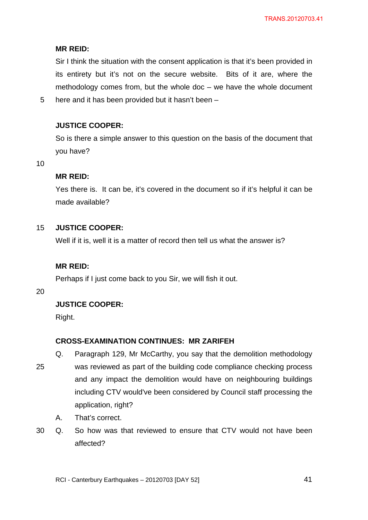# **MR REID:**

Sir I think the situation with the consent application is that it's been provided in its entirety but it's not on the secure website. Bits of it are, where the methodology comes from, but the whole doc – we have the whole document here and it has been provided but it hasn't been –

# **JUSTICE COOPER:**

So is there a simple answer to this question on the basis of the document that you have?

10

5

# **MR REID:**

Yes there is. It can be, it's covered in the document so if it's helpful it can be made available?

#### 15 **JUSTICE COOPER:**

Well if it is, well it is a matter of record then tell us what the answer is?

# **MR REID:**

Perhaps if I just come back to you Sir, we will fish it out.

20

# **JUSTICE COOPER:**

Right.

# **CROSS-EXAMINATION CONTINUES: MR ZARIFEH**

Q. Paragraph 129, Mr McCarthy, you say that the demolition methodology

- 25 was reviewed as part of the building code compliance checking process and any impact the demolition would have on neighbouring buildings including CTV would've been considered by Council staff processing the application, right?
	- A. That's correct.
- 30 Q. So how was that reviewed to ensure that CTV would not have been affected?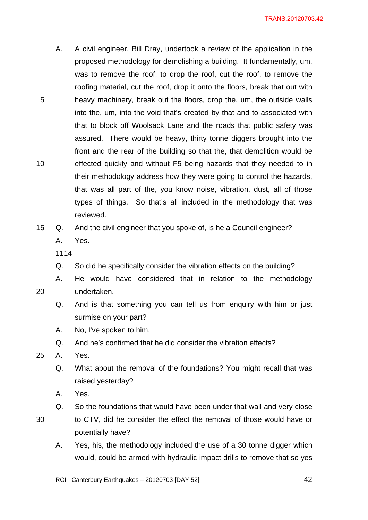- A. A civil engineer, Bill Dray, undertook a review of the application in the proposed methodology for demolishing a building. It fundamentally, um, was to remove the roof, to drop the roof, cut the roof, to remove the roofing material, cut the roof, drop it onto the floors, break that out with heavy machinery, break out the floors, drop the, um, the outside walls into the, um, into the void that's created by that and to associated with that to block off Woolsack Lane and the roads that public safety was assured. There would be heavy, thirty tonne diggers brought into the front and the rear of the building so that the, that demolition would be effected quickly and without F5 being hazards that they needed to in their methodology address how they were going to control the hazards, that was all part of the, you know noise, vibration, dust, all of those types of things. So that's all included in the methodology that was reviewed.
- 15 Q. And the civil engineer that you spoke of, is he a Council engineer?
	- A. Yes.
	- 1114

10

20

- Q. So did he specifically consider the vibration effects on the building?
- A. He would have considered that in relation to the methodology undertaken.
	- Q. And is that something you can tell us from enquiry with him or just surmise on your part?
	- A. No, I've spoken to him.
	- Q. And he's confirmed that he did consider the vibration effects?
- 25 A. Yes.
	- Q. What about the removal of the foundations? You might recall that was raised yesterday?
	- A. Yes.
	- Q. So the foundations that would have been under that wall and very close
- 30
- to CTV, did he consider the effect the removal of those would have or potentially have?
- A. Yes, his, the methodology included the use of a 30 tonne digger which would, could be armed with hydraulic impact drills to remove that so yes

RCI - Canterbury Earthquakes – 20120703 [DAY 52]

 $\sim$  42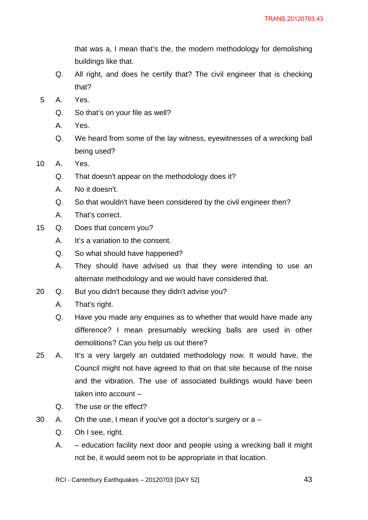that was a, I mean that's the, the modern methodology for demolishing buildings like that.

- Q. All right, and does he certify that? The civil engineer that is checking that?
- 5 A. Yes.
	- Q. So that's on your file as well?
	- A. Yes.
	- Q. We heard from some of the lay witness, eyewitnesses of a wrecking ball being used?
- 10 A. Yes.
	- Q. That doesn't appear on the methodology does it?
	- A. No it doesn't.
	- Q. So that wouldn't have been considered by the civil engineer then?
	- A. That's correct.
- 15 Q. Does that concern you?
	- A. It's a variation to the consent.
	- Q. So what should have happened?
	- A. They should have advised us that they were intending to use an alternate methodology and we would have considered that.
- 20 Q. But you didn't because they didn't advise you?
	- A. That's right.
	- Q. Have you made any enquiries as to whether that would have made any difference? I mean presumably wrecking balls are used in other demolitions? Can you help us out there?
- 25 A. It's a very largely an outdated methodology now. It would have, the Council might not have agreed to that on that site because of the noise and the vibration. The use of associated buildings would have been taken into account –
	- Q. The use or the effect?
- 30 A. Oh the use, I mean if you've got a doctor's surgery or  $a -$ 
	- Q. Oh I see, right.
	- A. education facility next door and people using a wrecking ball it might not be, it would seem not to be appropriate in that location.
	- RCI Canterbury Earthquakes 20120703 [DAY 52] 43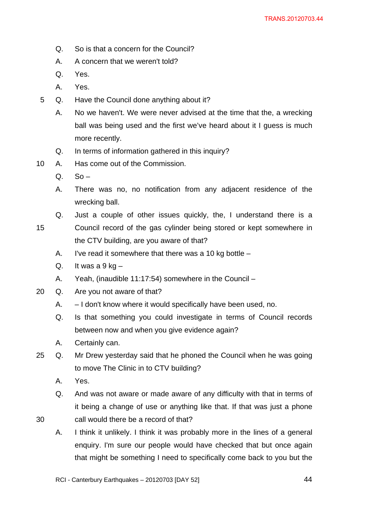- Q. So is that a concern for the Council?
- A. A concern that we weren't told?
- Q. Yes.
- A. Yes.
- 5 Q. Have the Council done anything about it?
	- A. No we haven't. We were never advised at the time that the, a wrecking ball was being used and the first we've heard about it I quess is much more recently.
	- Q. In terms of information gathered in this inquiry?
- 10 A. Has come out of the Commission.
	- $Q.$  So –
	- A. There was no, no notification from any adjacent residence of the wrecking ball.
	- Q. Just a couple of other issues quickly, the, I understand there is a
- 15 Council record of the gas cylinder being stored or kept somewhere in the CTV building, are you aware of that?
	- A. I've read it somewhere that there was a 10 kg bottle –
	- Q. It was a  $9$  kg  $-$
	- A. Yeah, (inaudible 11:17:54) somewhere in the Council –
- 20 Q. Are you not aware of that?
	- A. I don't know where it would specifically have been used, no.
	- Q. Is that something you could investigate in terms of Council records between now and when you give evidence again?
	- A. Certainly can.
- 25 Q. Mr Drew yesterday said that he phoned the Council when he was going to move The Clinic in to CTV building?
	- A. Yes.

- Q. And was not aware or made aware of any difficulty with that in terms of it being a change of use or anything like that. If that was just a phone call would there be a record of that?
- A. I think it unlikely. I think it was probably more in the lines of a general enquiry. I'm sure our people would have checked that but once again that might be something I need to specifically come back to you but the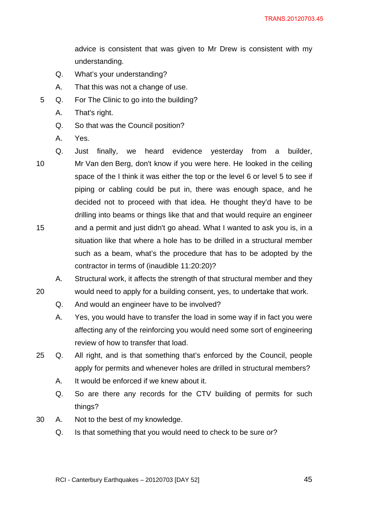advice is consistent that was given to Mr Drew is consistent with my understanding.

- Q. What's your understanding?
- A. That this was not a change of use.
- 5 Q. For The Clinic to go into the building?
	- A. That's right.
	- Q. So that was the Council position?
	- A. Yes.
- 10

20

15 Q. Just finally, we heard evidence yesterday from a builder, Mr Van den Berg, don't know if you were here. He looked in the ceiling space of the I think it was either the top or the level 6 or level 5 to see if piping or cabling could be put in, there was enough space, and he decided not to proceed with that idea. He thought they'd have to be drilling into beams or things like that and that would require an engineer and a permit and just didn't go ahead. What I wanted to ask you is, in a situation like that where a hole has to be drilled in a structural member such as a beam, what's the procedure that has to be adopted by the contractor in terms of (inaudible 11:20:20)?

A. Structural work, it affects the strength of that structural member and they

- would need to apply for a building consent, yes, to undertake that work.
- Q. And would an engineer have to be involved?
- A. Yes, you would have to transfer the load in some way if in fact you were affecting any of the reinforcing you would need some sort of engineering review of how to transfer that load.
- 25 Q. All right, and is that something that's enforced by the Council, people apply for permits and whenever holes are drilled in structural members?
	- A. It would be enforced if we knew about it.
	- Q. So are there any records for the CTV building of permits for such things?
- 30 A. Not to the best of my knowledge.
	- Q. Is that something that you would need to check to be sure or?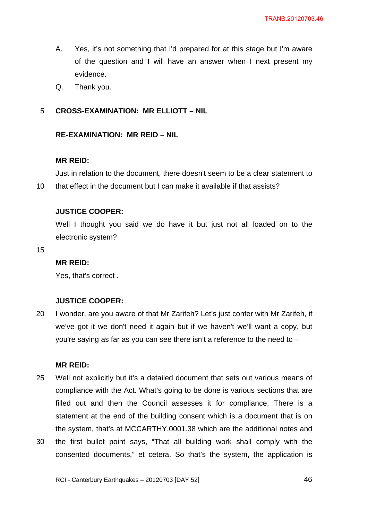- A. Yes, it's not something that I'd prepared for at this stage but I'm aware of the question and I will have an answer when I next present my evidence.
- Q. Thank you.

#### <span id="page-45-1"></span><span id="page-45-0"></span>5 **CROSS-EXAMINATION: MR ELLIOTT – NIL**

### **RE-EXAMINATION: MR REID – NIL**

#### **MR REID:**

10 Just in relation to the document, there doesn't seem to be a clear statement to that effect in the document but I can make it available if that assists?

#### **JUSTICE COOPER:**

Well I thought you said we do have it but just not all loaded on to the electronic system?

15

### **MR REID:**

Yes, that's correct .

### **JUSTICE COOPER:**

20 I wonder, are you aware of that Mr Zarifeh? Let's just confer with Mr Zarifeh, if we've got it we don't need it again but if we haven't we'll want a copy, but you're saying as far as you can see there isn't a reference to the need to –

#### **MR REID:**

25 30 Well not explicitly but it's a detailed document that sets out various means of compliance with the Act. What's going to be done is various sections that are filled out and then the Council assesses it for compliance. There is a statement at the end of the building consent which is a document that is on the system, that's at MCCARTHY.0001.38 which are the additional notes and the first bullet point says, "That all building work shall comply with the consented documents," et cetera. So that's the system, the application is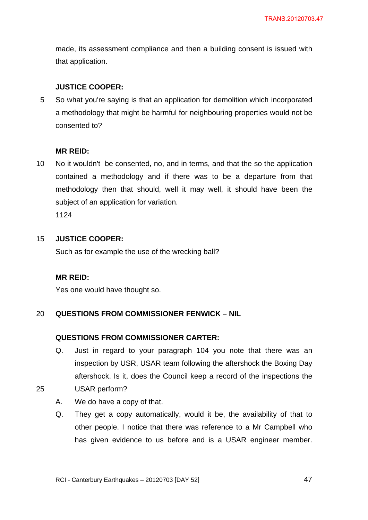made, its assessment compliance and then a building consent is issued with that application.

# **JUSTICE COOPER:**

5 So what you're saying is that an application for demolition which incorporated a methodology that might be harmful for neighbouring properties would not be consented to?

# **MR REID:**

10 No it wouldn't be consented, no, and in terms, and that the so the application contained a methodology and if there was to be a departure from that methodology then that should, well it may well, it should have been the subject of an application for variation.

1124

#### 15 **JUSTICE COOPER:**

Such as for example the use of the wrecking ball?

# **MR REID:**

Yes one would have thought so.

#### <span id="page-46-1"></span><span id="page-46-0"></span>20 **QUESTIONS FROM COMMISSIONER FENWICK – NIL**

# **QUESTIONS FROM COMMISSIONER CARTER:**

Q. Just in regard to your paragraph 104 you note that there was an inspection by USR, USAR team following the aftershock the Boxing Day aftershock. Is it, does the Council keep a record of the inspections the USAR perform?

- A. We do have a copy of that.
- Q. They get a copy automatically, would it be, the availability of that to other people. I notice that there was reference to a Mr Campbell who has given evidence to us before and is a USAR engineer member.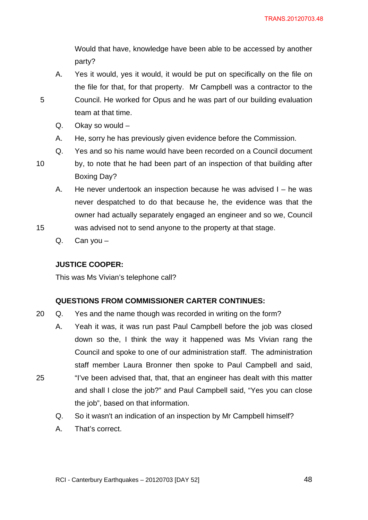Would that have, knowledge have been able to be accessed by another party?

- A. Yes it would, yes it would, it would be put on specifically on the file on the file for that, for that property. Mr Campbell was a contractor to the Council. He worked for Opus and he was part of our building evaluation team at that time.
- Q. Okay so would –
- A. He, sorry he has previously given evidence before the Commission.
- Q. Yes and so his name would have been recorded on a Council document

10

25

5

- by, to note that he had been part of an inspection of that building after Boxing Day?
- A. He never undertook an inspection because he was advised I he was never despatched to do that because he, the evidence was that the owner had actually separately engaged an engineer and so we, Council
- 15 was advised not to send anyone to the property at that stage.
	- Q. Can you –

# **JUSTICE COOPER:**

This was Ms Vivian's telephone call?

# **QUESTIONS FROM COMMISSIONER CARTER CONTINUES:**

- <span id="page-47-0"></span>20 Q. Yes and the name though was recorded in writing on the form?
	- A. Yeah it was, it was run past Paul Campbell before the job was closed down so the, I think the way it happened was Ms Vivian rang the Council and spoke to one of our administration staff. The administration staff member Laura Bronner then spoke to Paul Campbell and said, "I've been advised that, that, that an engineer has dealt with this matter and shall I close the job?" and Paul Campbell said, "Yes you can close the job", based on that information.
		- Q. So it wasn't an indication of an inspection by Mr Campbell himself?
		- A. That's correct.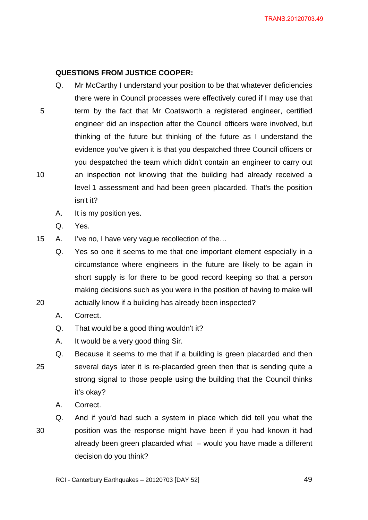# **QUESTIONS FROM JUSTICE COOPER:**

- <span id="page-48-0"></span>Q. Mr McCarthy I understand your position to be that whatever deficiencies there were in Council processes were effectively cured if I may use that term by the fact that Mr Coatsworth a registered engineer, certified engineer did an inspection after the Council officers were involved, but thinking of the future but thinking of the future as I understand the evidence you've given it is that you despatched three Council officers or you despatched the team which didn't contain an engineer to carry out an inspection not knowing that the building had already received a level 1 assessment and had been green placarded. That's the position isn't it?
	- A. It is my position yes.
	- Q. Yes.

5

10

20

15 A. I've no, I have very vague recollection of the…

- Q. Yes so one it seems to me that one important element especially in a circumstance where engineers in the future are likely to be again in short supply is for there to be good record keeping so that a person making decisions such as you were in the position of having to make will actually know if a building has already been inspected?
- A. Correct.
- Q. That would be a good thing wouldn't it?
- A. It would be a very good thing Sir.
- 25 Q. Because it seems to me that if a building is green placarded and then several days later it is re-placarded green then that is sending quite a strong signal to those people using the building that the Council thinks it's okay?
	- A. Correct.

30 Q. And if you'd had such a system in place which did tell you what the position was the response might have been if you had known it had already been green placarded what – would you have made a different decision do you think?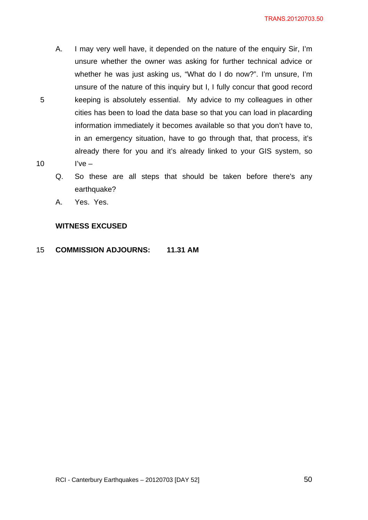- A. I may very well have, it depended on the nature of the enquiry Sir, I'm unsure whether the owner was asking for further technical advice or whether he was just asking us, "What do I do now?". I'm unsure, I'm unsure of the nature of this inquiry but I, I fully concur that good record keeping is absolutely essential. My advice to my colleagues in other cities has been to load the data base so that you can load in placarding information immediately it becomes available so that you don't have to, in an emergency situation, have to go through that, that process, it's already there for you and it's already linked to your GIS system, so I've –
- Q. So these are all steps that should be taken before there's any earthquake?
- A. Yes. Yes.

10

# **WITNESS EXCUSED**

#### 15 **COMMISSION ADJOURNS: 11.31 AM**